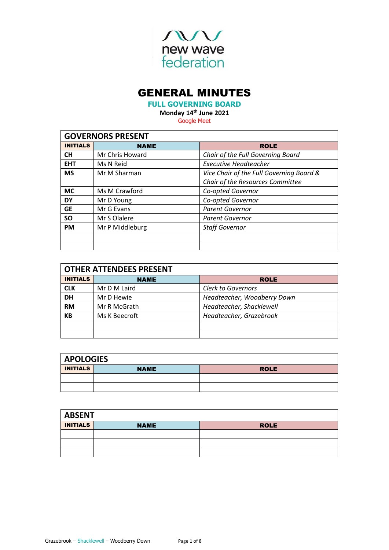

# GENERAL MINUTES

**FULL GOVERNING BOARD**

**Monday 14th June 2021**

Google Meet

| <b>GOVERNORS PRESENT</b> |                            |                                          |  |
|--------------------------|----------------------------|------------------------------------------|--|
| <b>INITIALS</b>          | <b>NAME</b><br><b>ROLE</b> |                                          |  |
| <b>CH</b>                | Mr Chris Howard            | Chair of the Full Governing Board        |  |
| <b>EHT</b>               | Ms N Reid                  | <b>Executive Headteacher</b>             |  |
| <b>MS</b>                | Mr M Sharman               | Vice Chair of the Full Governing Board & |  |
|                          |                            | Chair of the Resources Committee         |  |
| <b>MC</b>                | Ms M Crawford              | Co-opted Governor                        |  |
| <b>DY</b>                | Mr D Young                 | Co-opted Governor                        |  |
| <b>GE</b>                | Mr G Evans                 | Parent Governor                          |  |
| <b>SO</b>                | Mr S Olalere               | Parent Governor                          |  |
| <b>PM</b>                | Mr P Middleburg            | <b>Staff Governor</b>                    |  |
|                          |                            |                                          |  |
|                          |                            |                                          |  |

| <b>OTHER ATTENDEES PRESENT</b> |               |                             |  |
|--------------------------------|---------------|-----------------------------|--|
| <b>INITIALS</b>                | <b>NAME</b>   | <b>ROLE</b>                 |  |
| <b>CLK</b>                     | Mr D M Laird  | <b>Clerk to Governors</b>   |  |
| <b>DH</b>                      | Mr D Hewie    | Headteacher, Woodberry Down |  |
| <b>RM</b>                      | Mr R McGrath  | Headteacher, Shacklewell    |  |
| KB                             | Ms K Beecroft | Headteacher, Grazebrook     |  |
|                                |               |                             |  |
|                                |               |                             |  |

| <b>APOLOGIES</b> |                            |  |  |
|------------------|----------------------------|--|--|
| <b>INITIALS</b>  | <b>ROLE</b><br><b>NAME</b> |  |  |
|                  |                            |  |  |
|                  |                            |  |  |

| <b>ABSENT</b>   |             |             |  |
|-----------------|-------------|-------------|--|
| <b>INITIALS</b> | <b>NAME</b> | <b>ROLE</b> |  |
|                 |             |             |  |
|                 |             |             |  |
|                 |             |             |  |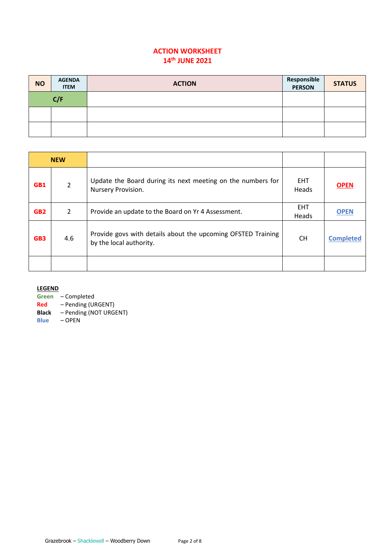# **ACTION WORKSHEET 14th JUNE 2021**

| <b>NO</b> | <b>AGENDA</b><br><b>ITEM</b> | <b>ACTION</b> | Responsible<br><b>PERSON</b> | <b>STATUS</b> |
|-----------|------------------------------|---------------|------------------------------|---------------|
|           | C/F                          |               |                              |               |
|           |                              |               |                              |               |
|           |                              |               |                              |               |

| <b>NEW</b>      |                |                                                                                         |                     |                  |
|-----------------|----------------|-----------------------------------------------------------------------------------------|---------------------|------------------|
| GB1             | 2              | Update the Board during its next meeting on the numbers for<br>Nursery Provision.       | <b>EHT</b><br>Heads | <b>OPEN</b>      |
| GB <sub>2</sub> | $\overline{2}$ | Provide an update to the Board on Yr 4 Assessment.                                      | <b>EHT</b><br>Heads | <b>OPEN</b>      |
| GB <sub>3</sub> | 4.6            | Provide govs with details about the upcoming OFSTED Training<br>by the local authority. | <b>CH</b>           | <b>Completed</b> |
|                 |                |                                                                                         |                     |                  |

**LEGEND**

**Green** – Completed

**Red** – Pending (URGENT)

**Black** – Pending (NOT URGENT)

**Blue** – OPEN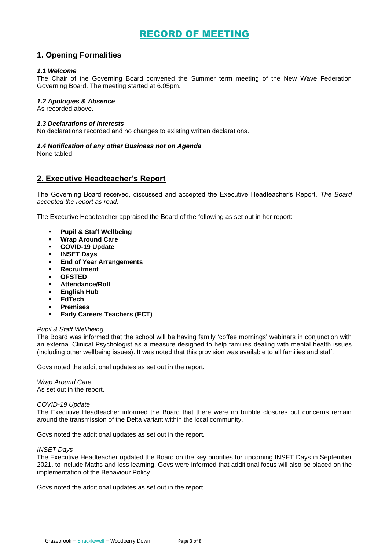# RECORD OF MEETING

# **1. Opening Formalities**

### *1.1 Welcome*

The Chair of the Governing Board convened the Summer term meeting of the New Wave Federation Governing Board. The meeting started at 6.05pm.

### *1.2 Apologies & Absence*

As recorded above.

### *1.3 Declarations of Interests*

No declarations recorded and no changes to existing written declarations.

### *1.4 Notification of any other Business not on Agenda*

None tabled

# **2. Executive Headteacher's Report**

The Governing Board received, discussed and accepted the Executive Headteacher's Report. *The Board accepted the report as read.* 

The Executive Headteacher appraised the Board of the following as set out in her report:

- **Pupil & Staff Wellbeing**
- **Wrap Around Care**
- **COVID-19 Update**
- **INSET Days**
- **End of Year Arrangements**
- **Recruitment**
- **OFSTED**
- **Attendance/Roll**
- **English Hub**
- **EdTech**
- **Premises**
- **Early Careers Teachers (ECT)**

### *Pupil & Staff Wellbeing*

The Board was informed that the school will be having family 'coffee mornings' webinars in conjunction with an external Clinical Psychologist as a measure designed to help families dealing with mental health issues (including other wellbeing issues). It was noted that this provision was available to all families and staff.

Govs noted the additional updates as set out in the report.

*Wrap Around Care* As set out in the report.

### *COVID-19 Update*

The Executive Headteacher informed the Board that there were no bubble closures but concerns remain around the transmission of the Delta variant within the local community.

Govs noted the additional updates as set out in the report.

### *INSET Days*

The Executive Headteacher updated the Board on the key priorities for upcoming INSET Days in September 2021, to include Maths and loss learning. Govs were informed that additional focus will also be placed on the implementation of the Behaviour Policy.

Govs noted the additional updates as set out in the report.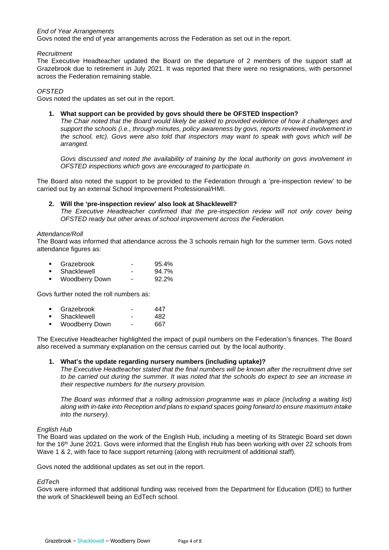### *End of Year Arrangements*

Govs noted the end of year arrangements across the Federation as set out in the report.

### *Recruitment*

The Executive Headteacher updated the Board on the departure of 2 members of the support staff at Grazebrook due to retirement in July 2021. It was reported that there were no resignations, with personnel across the Federation remaining stable.

### *OFSTED*

Govs noted the updates as set out in the report.

### **1. What support can be provided by govs should there be OFSTED Inspection?**

*The Chair noted that the Board would likely be asked to provided evidence of how it challenges and support the schools (i.e., through minutes, policy awareness by govs, reports reviewed involvement in the school, etc). Govs were also told that inspectors may want to speak with govs which will be arranged.*

*Govs discussed and noted the availability of training by the local authority on govs involvement in OFSTED inspections which govs are encouraged to participate in.*

The Board also noted the support to be provided to the Federation through a 'pre-inspection review' to be carried out by an external School Improvement Professional/HMI.

### **2. Will the 'pre-inspection review' also look at Shacklewell?**

*The Executive Headteacher confirmed that the pre-inspection review will not only cover being OFSTED ready but other areas of school improvement across the Federation.* 

### *Attendance/Roll*

The Board was informed that attendance across the 3 schools remain high for the summer term. Govs noted attendance figures as:

| Grazebrook<br>95.4% |
|---------------------|
|---------------------|

- Shacklewell 94.7%
- Woodberry Down 92.2%

Govs further noted the roll numbers as:

| Grazebrook | 447 |
|------------|-----|
|            |     |

- Shacklewell 482
- Woodberry Down 667

The Executive Headteacher highlighted the impact of pupil numbers on the Federation's finances. The Board also received a summary explanation on the census carried out by the local authority.

### **1. What's the update regarding nursery numbers (including uptake)?**

*The Executive Headteacher stated that the final numbers will be known after the recruitment drive set to be carried out during the summer. It was noted that the schools do expect to see an increase in their respective numbers for the nursery provision.* 

*The Board was informed that a rolling admission programme was in place (including a waiting list) along with in-take into Reception and plans to expand spaces going forward to ensure maximum intake into the nursery).* 

### *English Hub*

The Board was updated on the work of the English Hub, including a meeting of its Strategic Board set down for the 16<sup>th</sup> June 2021. Govs were informed that the English Hub has been working with over 22 schools from Wave 1 & 2, with face to face support returning (along with recruitment of additional staff).

Govs noted the additional updates as set out in the report.

# *EdTech*

Govs were informed that additional funding was received from the Department for Education (DfE) to further the work of Shacklewell being an EdTech school.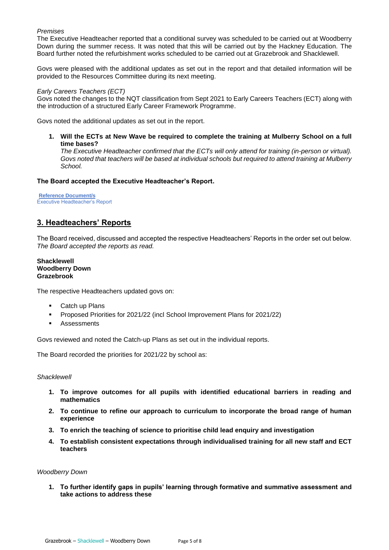### *Premises*

The Executive Headteacher reported that a conditional survey was scheduled to be carried out at Woodberry Down during the summer recess. It was noted that this will be carried out by the Hackney Education. The Board further noted the refurbishment works scheduled to be carried out at Grazebrook and Shacklewell.

Govs were pleased with the additional updates as set out in the report and that detailed information will be provided to the Resources Committee during its next meeting.

#### *Early Careers Teachers (ECT)*

Govs noted the changes to the NQT classification from Sept 2021 to Early Careers Teachers (ECT) along with the introduction of a structured Early Career Framework Programme.

Govs noted the additional updates as set out in the report.

**1. Will the ECTs at New Wave be required to complete the training at Mulberry School on a full time bases?**

*The Executive Headteacher confirmed that the ECTs will only attend for training (in-person or virtual). Govs noted that teachers will be based at individual schools but required to attend training at Mulberry School.* 

### **The Board accepted the Executive Headteacher's Report.**

**Reference Document/s** Executive Headteacher's Report

# **3. Headteachers' Reports**

The Board received, discussed and accepted the respective Headteachers' Reports in the order set out below. *The Board accepted the reports as read.* 

**Shacklewell Woodberry Down Grazebrook**

The respective Headteachers updated govs on:

- Catch up Plans
- Proposed Priorities for 2021/22 (incl School Improvement Plans for 2021/22)
- Assessments

Govs reviewed and noted the Catch-up Plans as set out in the individual reports.

The Board recorded the priorities for 2021/22 by school as:

### *Shacklewell*

- **1. To improve outcomes for all pupils with identified educational barriers in reading and mathematics**
- **2. To continue to refine our approach to curriculum to incorporate the broad range of human experience**
- **3. To enrich the teaching of science to prioritise child lead enquiry and investigation**
- **4. To establish consistent expectations through individualised training for all new staff and ECT teachers**

#### *Woodberry Down*

**1. To further identify gaps in pupils' learning through formative and summative assessment and take actions to address these**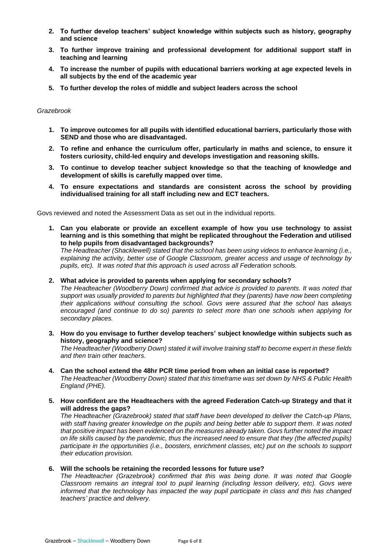- **2. To further develop teachers' subject knowledge within subjects such as history, geography and science**
- **3. To further improve training and professional development for additional support staff in teaching and learning**
- **4. To increase the number of pupils with educational barriers working at age expected levels in all subjects by the end of the academic year**
- **5. To further develop the roles of middle and subject leaders across the school**

### *Grazebrook*

- **1. To improve outcomes for all pupils with identified educational barriers, particularly those with SEND and those who are disadvantaged.**
- **2. To refine and enhance the curriculum offer, particularly in maths and science, to ensure it fosters curiosity, child-led enquiry and develops investigation and reasoning skills.**
- **3. To continue to develop teacher subject knowledge so that the teaching of knowledge and development of skills is carefully mapped over time.**
- **4. To ensure expectations and standards are consistent across the school by providing individualised training for all staff including new and ECT teachers.**

Govs reviewed and noted the Assessment Data as set out in the individual reports.

**1. Can you elaborate or provide an excellent example of how you use technology to assist learning and is this something that might be replicated throughout the Federation and utilised to help pupils from disadvantaged backgrounds?**

*The Headteacher (Shacklewell) stated that the school has been using videos to enhance learning (i.e., explaining the activity, better use of Google Classroom, greater access and usage of technology by pupils, etc). It was noted that this approach is used across all Federation schools.* 

**2. What advice is provided to parents when applying for secondary schools?**

*The Headteacher (Woodberry Down) confirmed that advice is provided to parents. It was noted that support was usually provided to parents but highlighted that they (parents) have now been completing their applications without consulting the school. Govs were assured that the school has always encouraged (and continue to do so) parents to select more than one schools when applying for secondary places.* 

**3. How do you envisage to further develop teachers' subject knowledge within subjects such as history, geography and science?**

*The Headteacher (Woodberry Down) stated it will involve training staff to become expert in these fields and then train other teachers.* 

- **4. Can the school extend the 48hr PCR time period from when an initial case is reported?** *The Headteacher (Woodberry Down) stated that this timeframe was set down by NHS & Public Health England (PHE).*
- **5. How confident are the Headteachers with the agreed Federation Catch-up Strategy and that it will address the gaps?**

*The Headteacher (Grazebrook) stated that staff have been developed to deliver the Catch-up Plans, with staff having greater knowledge on the pupils and being better able to support them. It was noted that positive impact has been evidenced on the measures already taken. Govs further noted the impact on life skills caused by the pandemic, thus the increased need to ensure that they (the affected pupils) participate in the opportunities (i.e., boosters, enrichment classes, etc) put on the schools to support their education provision.* 

### **6. Will the schools be retaining the recorded lessons for future use?**

*The Headteacher (Grazebrook) confirmed that this was being done. It was noted that Google Classroom remains an integral tool to pupil learning (including lesson delivery, etc). Govs were informed that the technology has impacted the way pupil participate in class and this has changed teachers' practice and delivery.*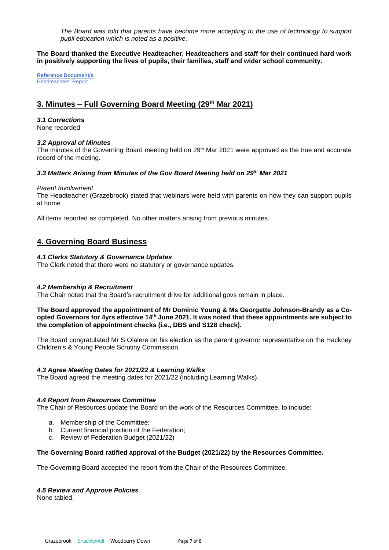*The Board was told that parents have become more accepting to the use of technology to support pupil education which is noted as a positive.* 

**The Board thanked the Executive Headteacher, Headteachers and staff for their continued hard work in positively supporting the lives of pupils, their families, staff and wider school community.**

**Reference Document/s** Headteachers' Report

# **3. Minutes – Full Governing Board Meeting (29th Mar 2021)**

# *3.1 Corrections*

None recorded

# *3.2 Approval of Minutes*

The minutes of the Governing Board meeting held on 29<sup>th</sup> Mar 2021 were approved as the true and accurate record of the meeting.

# *3.3 Matters Arising from Minutes of the Gov Board Meeting held on 29th Mar 2021*

### *Parent Involvement*

The Headteacher (Grazebrook) stated that webinars were held with parents on how they can support pupils at home.

All items reported as completed. No other matters arising from previous minutes.

# **4. Governing Board Business**

# *4.1 Clerks Statutory & Governance Updates*

The Clerk noted that there were no statutory or governance updates.

# *4.2 Membership & Recruitment*

The Chair noted that the Board's recruitment drive for additional govs remain in place.

### **The Board approved the appointment of Mr Dominic Young & Ms Georgette Johnson-Brandy as a Coopted Governors for 4yrs effective 14th June 2021. It was noted that these appointments are subject to the completion of appointment checks (i.e., DBS and S128 check).**

The Board congratulated Mr S Olalere on his election as the parent governor representative on the Hackney Children's & Young People Scrutiny Commission.

# *4.3 Agree Meeting Dates for 2021/22 & Learning Walks*

The Board agreed the meeting dates for 2021/22 (including Learning Walks).

# *4.4 Report from Resources Committee*

The Chair of Resources update the Board on the work of the Resources Committee, to include:

- a. Membership of the Committee;
- b. Current financial position of the Federation;
- c. Review of Federation Budget (2021/22)

# **The Governing Board ratified approval of the Budget (2021/22) by the Resources Committee.**

The Governing Board accepted the report from the Chair of the Resources Committee.

### *4.5 Review and Approve Policies*

None tabled.